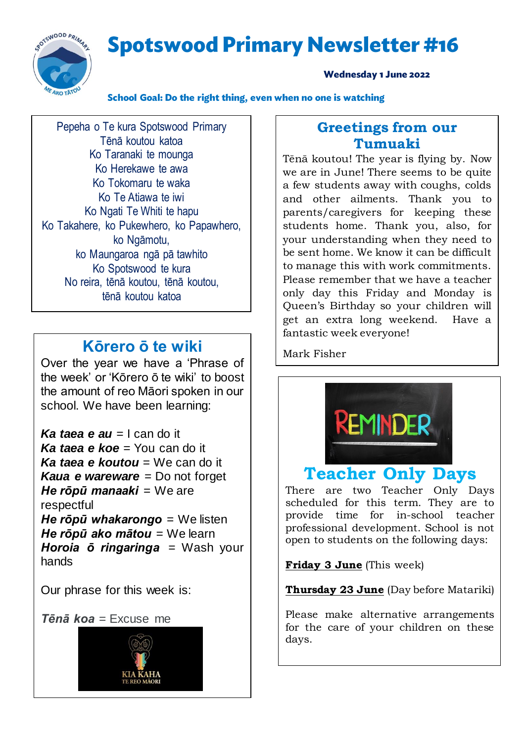**Spotswood Primary Newsletter #16** 



#### **Wednesday 1 June 2022**

School Goal: Do the right thing, even when no one is watching

Pepeha o Te kura Spotswood Primary Tēnā koutou katoa Ko Taranaki te mounga Ko Herekawe te awa Ko Tokomaru te waka Ko Te Atiawa te iwi Ko Ngati Te Whiti te hapu Ko Takahere, ko Pukewhero, ko Papawhero, ko Ngāmotu, ko Maungaroa ngā pā tawhito Ko Spotswood te kura No reira, tēnā koutou, tēnā koutou, tēnā koutou katoa

### **Kōrero ō te wiki**

Over the year we have a 'Phrase of the week' or 'Kōrero ō te wiki' to boost the amount of reo Māori spoken in our school. We have been learning:

*Ka taea e au* = I can do it *Ka taea e koe* = You can do it *Ka taea e koutou* = We can do it *Kaua e wareware* = Do not forget *He rōpū manaaki* = We are respectful *He rōpū whakarongo* = We listen *He rōpū ako mātou* = We learn *Horoia ō ringaringa* = Wash your hands

Our phrase for this week is:

*Tēnā koa* = Excuse me



### **Greetings from our Tumuaki**

Tēnā koutou! The year is flying by. Now we are in June! There seems to be quite a few students away with coughs, colds and other ailments. Thank you to parents/caregivers for keeping these students home. Thank you, also, for your understanding when they need to be sent home. We know it can be difficult to manage this with work commitments. Please remember that we have a teacher only day this Friday and Monday is Queen's Birthday so your children will get an extra long weekend. Have a fantastic week everyone!

Mark Fisher



## **Teacher Only Days**

There are two Teacher Only Days scheduled for this term. They are to provide time for in-school teacher professional development. School is not open to students on the following days:

**Friday 3 June** (This week)

**Thursday 23 June** (Day before Matariki)

Please make alternative arrangements for the care of your children on these days.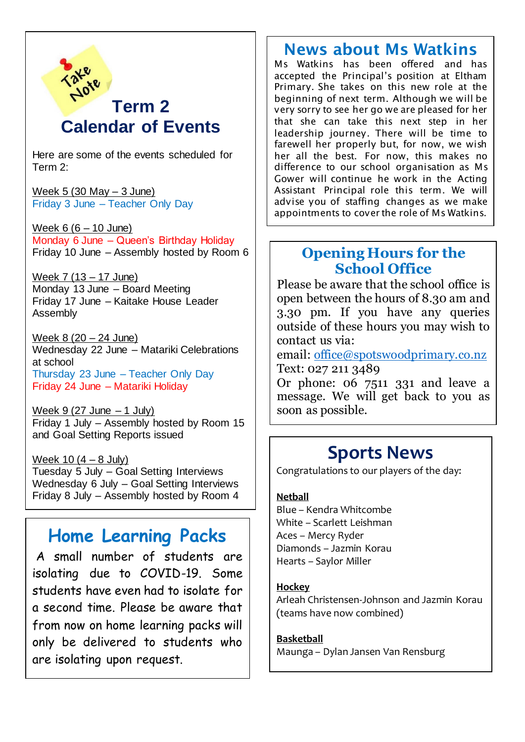

Here are some of the events scheduled for Term 2:

Week  $5(30$  May  $-3$  June) Friday 3 June – Teacher Only Day

Week  $6 (6 - 10$  June) Monday 6 June – Queen's Birthday Holiday Friday 10 June – Assembly hosted by Room 6

Week 7 (13 – 17 June) Monday 13 June – Board Meeting Friday 17 June – Kaitake House Leader Assembly

Week 8 (20 – 24 June) Wednesday 22 June – Matariki Celebrations at school Thursday 23 June – Teacher Only Day Friday 24 June – Matariki Holiday

Week  $9(27 \text{ June } -1 \text{ July})$ Friday 1 July – Assembly hosted by Room 15 and Goal Setting Reports issued

Week  $10(4 - 8$  July) Tuesday 5 July – Goal Setting Interviews Wednesday 6 July – Goal Setting Interviews Friday 8 July – Assembly hosted by Room 4

## **Home Learning Packs**

A small number of students are isolating due to COVID-19. Some students have even had to isolate for a second time. Please be aware that from now on home learning packs will only be delivered to students who are isolating upon request.

## News about Ms Watkins

Ms Watkins has been offered and has accepted the Principal's position at Eltham Primary. She takes on this new role at the beginning of next term. Although we will be very sorry to see her go we are pleased for her that she can take this next step in her leadership journey. There will be time to farewell her properly but, for now, we wish her all the best. For now, this makes no difference to our school organisation as Ms Gower will continue he work in the Acting Assistant Principal role this term. We will advise you of staffing changes as we make appointments to cover the role of Ms Watkins.

### **Opening Hours for the School Office**

Please be aware that the school office is open between the hours of 8.30 am and 3.30 pm. If you have any queries outside of these hours you may wish to contact us via:

email: [office@spotswoodprimary.co.nz](mailto:office@spotswoodprimary.co.nz) Text: 027 211 3489

Or phone: 06 7511 331 and leave a message. We will get back to you as soon as possible.

## **Sports News**

Congratulations to our players of the day:

#### **Netball**

Blue – Kendra Whitcombe White – Scarlett Leishman Aces – Mercy Ryder Diamonds – Jazmin Korau Hearts – Saylor Miller

#### **Hockey**

Arleah Christensen-Johnson and Jazmin Korau (teams have now combined)

#### **Basketball**

Maunga – Dylan Jansen Van Rensburg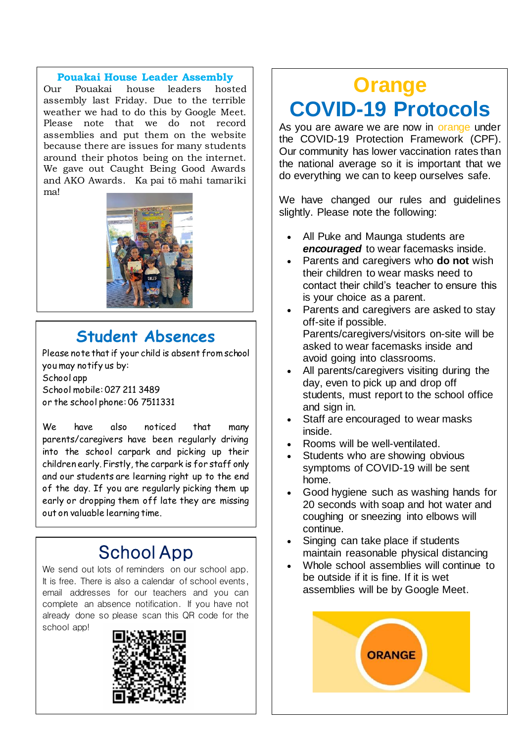#### **Pouakai House Leader Assembly**

Our Pouakai house leaders hosted assembly last Friday. Due to the terrible weather we had to do this by Google Meet. Please note that we do not record assemblies and put them on the website because there are issues for many students around their photos being on the internet. We gave out Caught Being Good Awards and AKO Awards. Ka pai tō mahi tamariki ma!



## **Student Absences**

Please note that if your child is absent from school you may notify us by: School app School mobile: 027 211 3489 or the school phone: 06 7511331

We have also noticed that many parents/caregivers have been regularly driving into the school carpark and picking up their children early. Firstly, the carpark is for staff only and our students are learning right up to the end of the day. If you are regularly picking them up early or dropping them off late they are missing out on valuable learning time.

# School App

We send out lots of reminders on our school app. It is free. There is also a calendar of school events, email addresses for our teachers and you can complete an absence notification. If you have not already done so please scan this QR code for the school app!



# **Orange COVID-19 Protocols**

As you are aware we are now in orange under the COVID-19 Protection Framework (CPF). Our community has lower vaccination rates than the national average so it is important that we do everything we can to keep ourselves safe.

We have changed our rules and quidelines slightly. Please note the following:

- All Puke and Maunga students are *encouraged* to wear facemasks inside.
- Parents and caregivers who **do not** wish their children to wear masks need to contact their child's teacher to ensure this is your choice as a parent.
- Parents and caregivers are asked to stay off-site if possible. Parents/caregivers/visitors on-site will be asked to wear facemasks inside and avoid going into classrooms.
- All parents/caregivers visiting during the day, even to pick up and drop off students, must report to the school office and sign in.
- Staff are encouraged to wear masks inside.
- Rooms will be well-ventilated.
- Students who are showing obvious symptoms of COVID-19 will be sent home.
- Good hygiene such as washing hands for 20 seconds with soap and hot water and coughing or sneezing into elbows will continue.
- Singing can take place if students maintain reasonable physical distancing
- Whole school assemblies will continue to be outside if it is fine. If it is wet assemblies will be by Google Meet.